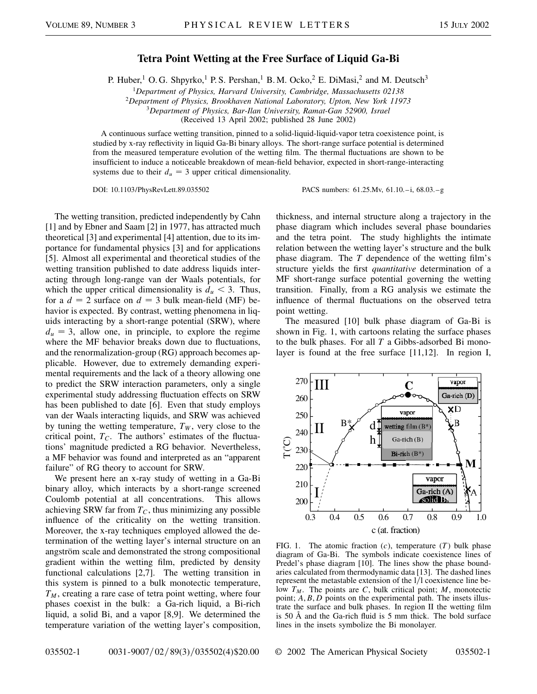## **Tetra Point Wetting at the Free Surface of Liquid Ga-Bi**

P. Huber,<sup>1</sup> O. G. Shpyrko,<sup>1</sup> P. S. Pershan,<sup>1</sup> B. M. Ocko,<sup>2</sup> E. DiMasi,<sup>2</sup> and M. Deutsch<sup>3</sup>

<sup>1</sup>*Department of Physics, Harvard University, Cambridge, Massachusetts 02138*

<sup>2</sup>*Department of Physics, Brookhaven National Laboratory, Upton, New York 11973*

<sup>3</sup>*Department of Physics, Bar-Ilan University, Ramat-Gan 52900, Israel*

(Received 13 April 2002; published 28 June 2002)

A continuous surface wetting transition, pinned to a solid-liquid-liquid-vapor tetra coexistence point, is studied by x-ray reflectivity in liquid Ga-Bi binary alloys. The short-range surface potential is determined from the measured temperature evolution of the wetting film. The thermal fluctuations are shown to be insufficient to induce a noticeable breakdown of mean-field behavior, expected in short-range-interacting systems due to their  $d_u = 3$  upper critical dimensionality.

DOI: 10.1103/PhysRevLett.89.035502 PACS numbers: 61.25.Mv, 61.10.–i, 68.03.–g

The wetting transition, predicted independently by Cahn [1] and by Ebner and Saam [2] in 1977, has attracted much theoretical [3] and experimental [4] attention, due to its importance for fundamental physics [3] and for applications [5]. Almost all experimental and theoretical studies of the wetting transition published to date address liquids interacting through long-range van der Waals potentials, for which the upper critical dimensionality is  $d_u < 3$ . Thus, for a  $d = 2$  surface on  $d = 3$  bulk mean-field (MF) behavior is expected. By contrast, wetting phenomena in liquids interacting by a short-range potential (SRW), where  $d_u = 3$ , allow one, in principle, to explore the regime where the MF behavior breaks down due to fluctuations, and the renormalization-group (RG) approach becomes applicable. However, due to extremely demanding experimental requirements and the lack of a theory allowing one to predict the SRW interaction parameters, only a single experimental study addressing fluctuation effects on SRW has been published to date [6]. Even that study employs van der Waals interacting liquids, and SRW was achieved by tuning the wetting temperature,  $T_W$ , very close to the critical point,  $T_c$ . The authors' estimates of the fluctuations' magnitude predicted a RG behavior. Nevertheless, a MF behavior was found and interpreted as an "apparent failure" of RG theory to account for SRW.

We present here an x-ray study of wetting in a Ga-Bi binary alloy, which interacts by a short-range screened Coulomb potential at all concentrations. This allows achieving SRW far from  $T_C$ , thus minimizing any possible influence of the criticality on the wetting transition. Moreover, the x-ray techniques employed allowed the determination of the wetting layer's internal structure on an angström scale and demonstrated the strong compositional gradient within the wetting film, predicted by density functional calculations [2,7]. The wetting transition in this system is pinned to a bulk monotectic temperature,  $T_M$ , creating a rare case of tetra point wetting, where four phases coexist in the bulk: a Ga-rich liquid, a Bi-rich liquid, a solid Bi, and a vapor [8,9]. We determined the temperature variation of the wetting layer's composition, thickness, and internal structure along a trajectory in the phase diagram which includes several phase boundaries and the tetra point. The study highlights the intimate relation between the wetting layer's structure and the bulk phase diagram. The *T* dependence of the wetting film's structure yields the first *quantitative* determination of a MF short-range surface potential governing the wetting transition. Finally, from a RG analysis we estimate the influence of thermal fluctuations on the observed tetra point wetting.

The measured [10] bulk phase diagram of Ga-Bi is shown in Fig. 1, with cartoons relating the surface phases to the bulk phases. For all *T* a Gibbs-adsorbed Bi monolayer is found at the free surface [11,12]. In region I,



FIG. 1. The atomic fraction (*c*), temperature (*T*) bulk phase diagram of Ga-Bi. The symbols indicate coexistence lines of Predel's phase diagram [10]. The lines show the phase boundaries calculated from thermodynamic data [13]. The dashed lines represent the metastable extension of the  $1/l$  coexistence line below  $T_M$ . The points are *C*, bulk critical point; *M*, monotectic point; *A*,*B*, *D* points on the experimental path. The insets illustrate the surface and bulk phases. In region II the wetting film is 50 Å and the Ga-rich fluid is 5 mm thick. The bold surface lines in the insets symbolize the Bi monolayer.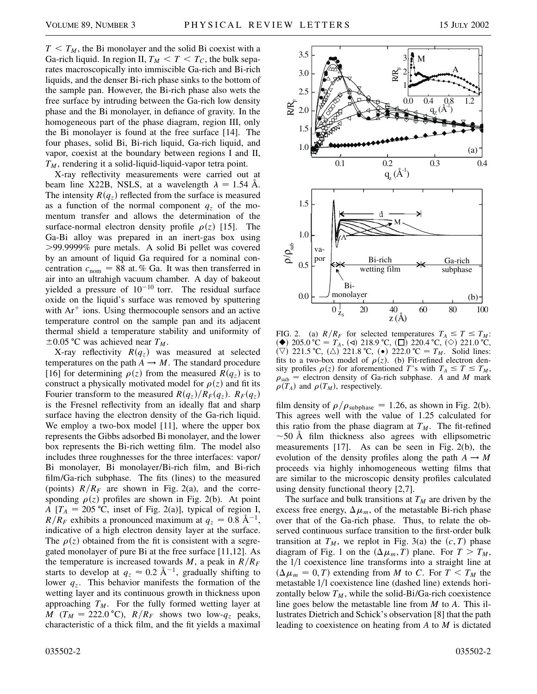$T < T_M$ , the Bi monolayer and the solid Bi coexist with a Ga-rich liquid. In region II,  $T_M < T < T_C$ , the bulk separates macroscopically into immiscible Ga-rich and Bi-rich liquids, and the denser Bi-rich phase sinks to the bottom of the sample pan. However, the Bi-rich phase also wets the free surface by intruding between the Ga-rich low density phase and the Bi monolayer, in defiance of gravity. In the homogeneous part of the phase diagram, region III, only the Bi monolayer is found at the free surface [14]. The four phases, solid Bi, Bi-rich liquid, Ga-rich liquid, and vapor, coexist at the boundary between regions I and II, *TM*, rendering it a solid-liquid-liquid-vapor tetra point.

X-ray reflectivity measurements were carried out at beam line X22B, NSLS, at a wavelength  $\lambda = 1.54$  Å. The intensity  $R(q_z)$  reflected from the surface is measured as a function of the normal component  $q<sub>z</sub>$  of the momentum transfer and allows the determination of the surface-normal electron density profile  $\rho(z)$  [15]. The Ga-Bi alloy was prepared in an inert-gas box using .99.9999% pure metals. A solid Bi pellet was covered by an amount of liquid Ga required for a nominal concentration  $c_{\text{nom}} = 88$  at. % Ga. It was then transferred in air into an ultrahigh vacuum chamber. A day of bakeout yielded a pressure of  $10^{-10}$  torr. The residual surface oxide on the liquid's surface was removed by sputtering with  $Ar^+$  ions. Using thermocouple sensors and an active temperature control on the sample pan and its adjacent thermal shield a temperature stability and uniformity of  $\pm 0.05$  °C was achieved near  $T_M$ .

X-ray reflectivity  $R(q_z)$  was measured at selected temperatures on the path  $A \rightarrow M$ . The standard procedure [16] for determining  $\rho(z)$  from the measured  $R(q_z)$  is to construct a physically motivated model for  $\rho(z)$  and fit its Fourier transform to the measured  $R(q_z)/R_F(q_z)$ .  $R_F(q_z)$ is the Fresnel reflectivity from an ideally flat and sharp surface having the electron density of the Ga-rich liquid. We employ a two-box model [11], where the upper box represents the Gibbs adsorbed Bi monolayer, and the lower box represents the Bi-rich wetting film. The model also includes three roughnesses for the three interfaces: vapor/ Bi monolayer, Bi monolayer/Bi-rich film, and Bi-rich film/Ga-rich subphase. The fits (lines) to the measured (points)  $R/R_F$  are shown in Fig. 2(a), and the corresponding  $\rho(z)$  profiles are shown in Fig. 2(b). At point *A* [ $T_A$  = 205 °C, inset of Fig. 2(a)], typical of region I,  $R/R_F$  exhibits a pronounced maximum at  $q_z = 0.8$  Å<sup>-1</sup>, indicative of a high electron density layer at the surface. The  $\rho(z)$  obtained from the fit is consistent with a segregated monolayer of pure Bi at the free surface [11,12]. As the temperature is increased towards  $M$ , a peak in  $R/R_F$ starts to develop at  $q_z \approx 0.2 \text{ Å}^{-1}$ , gradually shifting to lower  $q_z$ . This behavior manifests the formation of the wetting layer and its continuous growth in thickness upon approaching  $T_M$ . For the fully formed wetting layer at *M* ( $T_M = 222.0 \text{ °C}$ ),  $R/R_F$  shows two low- $q_z$  peaks, characteristic of a thick film, and the fit yields a maximal



FIG. 2. (a)  $R/R_F$  for selected temperatures  $T_A \leq T \leq T_M$ : ( $\blacklozenge$ ) 205.0 °C = T<sub>A</sub>, (<) 218.9 °C, ( $\square$ ) 220.4 °C, ( $\diamondsuit$ ) 221.0 °C,  $(\nabla)$  221.5 °C,  $(\triangle)$  221.8 °C,  $(\bullet)$  222.0 °C =  $T_M$ . Solid lines: fits to a two-box model of  $\rho(z)$ . (b) Fit-refined electron density profiles  $\rho(z)$  for aforementioned *T*'s with  $T_A \leq T \leq T_M$ ,  $\rho_{sub}$  = electron density of Ga-rich subphase. *A* and *M* mark  $\rho(T_A)$  and  $\rho(T_M)$ , respectively.

film density of  $\rho/\rho_{\text{subphase}} = 1.26$ , as shown in Fig. 2(b). This agrees well with the value of 1.25 calculated for this ratio from the phase diagram at  $T_M$ . The fit-refined  $\sim$ 50 Å film thickness also agrees with ellipsometric measurements [17]. As can be seen in Fig. 2(b), the evolution of the density profiles along the path  $A \rightarrow M$ proceeds via highly inhomogeneous wetting films that are similar to the microscopic density profiles calculated using density functional theory [2,7].

The surface and bulk transitions at  $T_M$  are driven by the excess free energy,  $\Delta \mu_m$ , of the metastable Bi-rich phase over that of the Ga-rich phase. Thus, to relate the observed continuous surface transition to the first-order bulk transition at  $T_M$ , we replot in Fig. 3(a) the  $(c, T)$  phase diagram of Fig. 1 on the  $(\Delta \mu_m, T)$  plane. For  $T > T_M$ , the  $1/l$  coexistence line transforms into a straight line at  $(\Delta \mu_m = 0, T)$  extending from *M* to *C*. For  $T \leq T_M$  the metastable  $1/l$  coexistence line (dashed line) extends horizontally below  $T_M$ , while the solid-Bi/Ga-rich coexistence line goes below the metastable line from *M* to *A*. This illustrates Dietrich and Schick's observation [8] that the path leading to coexistence on heating from *A* to *M* is dictated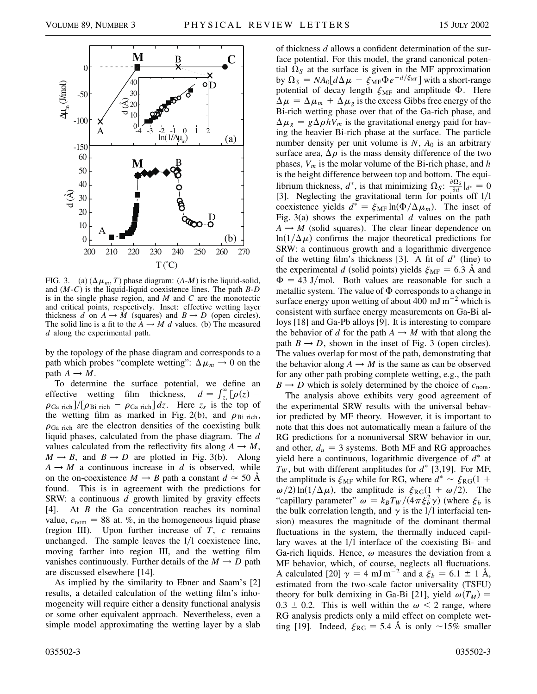

FIG. 3. (a)  $(\Delta \mu_m, T)$  phase diagram:  $(A-M)$  is the liquid-solid, and (*M*-*C*) is the liquid-liquid coexistence lines. The path *B*-*D* is in the single phase region, and *M* and *C* are the monotectic and critical points, respectively. Inset: effective wetting layer thickness *d* on  $A \rightarrow M$  (squares) and  $B \rightarrow D$  (open circles). The solid line is a fit to the  $A \rightarrow M$  *d* values. (b) The measured *d* along the experimental path.

by the topology of the phase diagram and corresponds to a path which probes "complete wetting":  $\Delta \mu_m \rightarrow 0$  on the path  $A \rightarrow M$ .

To determine the surface potential, we define an effective wetting film thickness,  $\sum_{z_s}^{\infty} [\rho(z)$  –  $\rho_{Ga\,\text{rich}}/[\rho_{Bi\,\text{rich}} - \rho_{Ga\,\text{rich}}]$  *dz*. Here  $z_s$  is the top of the wetting film as marked in Fig. 2(b), and  $\rho_{\text{Bi rich}}$ ,  $\rho_{Ga\,rich}$  are the electron densities of the coexisting bulk liquid phases, calculated from the phase diagram. The *d* values calculated from the reflectivity fits along  $A \rightarrow M$ ,  $M \rightarrow B$ , and  $B \rightarrow D$  are plotted in Fig. 3(b). Along  $A \rightarrow M$  a continuous increase in *d* is observed, while on the on-coexistence  $M \rightarrow B$  path a constant  $d \approx 50$  Å found. This is in agreement with the predictions for SRW: a continuous *d* growth limited by gravity effects [4]. At *B* the Ga concentration reaches its nominal value,  $c_{\text{nom}} = 88$  at. %, in the homogeneous liquid phase (region III). Upon further increase of *T*, *c* remains unchanged. The sample leaves the  $1/l$  coexistence line, moving farther into region III, and the wetting film vanishes continuously. Further details of the  $M \rightarrow D$  path are discussed elsewhere [14].

As implied by the similarity to Ebner and Saam's [2] results, a detailed calculation of the wetting film's inhomogeneity will require either a density functional analysis or some other equivalent approach. Nevertheless, even a simple model approximating the wetting layer by a slab of thickness *d* allows a confident determination of the surface potential. For this model, the grand canonical potential  $\Omega$ <sub>*S*</sub> at the surface is given in the MF approximation by  $\Omega_S = NA_0[d\Delta\mu + \xi_{MF}\Phi e^{-d/\xi_{MF}}]$  with a short-range potential of decay length  $\xi_{MF}$  and amplitude  $\Phi$ . Here  $\Delta \mu = \Delta \mu_m + \Delta \mu_g$  is the excess Gibbs free energy of the Bi-rich wetting phase over that of the Ga-rich phase, and  $\Delta \mu_g = g \Delta \rho h V_m$  is the gravitational energy paid for having the heavier Bi-rich phase at the surface. The particle number density per unit volume is  $N$ ,  $A_0$  is an arbitrary surface area,  $\Delta \rho$  is the mass density difference of the two phases, *Vm* is the molar volume of the Bi-rich phase, and *h* is the height difference between top and bottom. The equilibrium thickness,  $d^*$ , is that minimizing  $\Omega_S$ :  $\frac{\partial \Omega_S}{\partial d}|_{d^*} = 0$ [3]. Neglecting the gravitational term for points off  $1/1$ coexistence yields  $d^* = \xi_{MF} \ln(\Phi/\Delta \mu_m)$ . The inset of Fig. 3(a) shows the experimental *d* values on the path  $A \rightarrow M$  (solid squares). The clear linear dependence on  $ln(1/\Delta \mu)$  confirms the major theoretical predictions for SRW: a continuous growth and a logarithmic divergence of the wetting film's thickness [3]. A fit of  $d^*$  (line) to the experimental *d* (solid points) yields  $\xi_{\text{MF}} = 6.3$  Å and  $\Phi = 43$  J/mol. Both values are reasonable for such a metallic system. The value of  $\Phi$  corresponds to a change in surface energy upon wetting of about 400 mJ  $m^{-2}$  which is consistent with surface energy measurements on Ga-Bi alloys [18] and Ga-Pb alloys [9]. It is interesting to compare the behavior of *d* for the path  $A \rightarrow M$  with that along the path  $B \rightarrow D$ , shown in the inset of Fig. 3 (open circles). The values overlap for most of the path, demonstrating that the behavior along  $A \rightarrow M$  is the same as can be observed for any other path probing complete wetting, e.g., the path  $B \rightarrow D$  which is solely determined by the choice of  $c_{\text{nom}}$ .

The analysis above exhibits very good agreement of the experimental SRW results with the universal behavior predicted by MF theory. However, it is important to note that this does not automatically mean a failure of the RG predictions for a nonuniversal SRW behavior in our, and other,  $d_u = 3$  systems. Both MF and RG approaches yield here a continuous, logarithmic divergence of  $d^*$  at  $T_W$ , but with different amplitudes for  $d^*$  [3,19]. For MF, the amplitude is  $\xi_{\text{MF}}$  while for RG, where  $d^* \sim \xi_{\text{RG}}(1 +$  $\omega/2$  ln(1/ $\Delta \mu$ ), the amplitude is  $\xi_{\text{RG}}(1 + \omega/2)$ . The "capillary parameter"  $\omega = k_B T_W / (4 \pi \xi_b^2 \gamma)$  (where  $\xi_b$  is the bulk correlation length, and  $\gamma$  is the l/l interfacial tension) measures the magnitude of the dominant thermal fluctuations in the system, the thermally induced capillary waves at the  $1/1$  interface of the coexisting Bi- and Ga-rich liquids. Hence,  $\omega$  measures the deviation from a MF behavior, which, of course, neglects all fluctuations. A calculated [20]  $\gamma = 4$  mJ m<sup>-2</sup> and a  $\xi_b = 6.1 \pm 1$  Å, estimated from the two-scale factor universality (TSFU) theory for bulk demixing in Ga-Bi [21], yield  $\omega(T_M)$  =  $0.3 \pm 0.2$ . This is well within the  $\omega < 2$  range, where RG analysis predicts only a mild effect on complete wetting [19]. Indeed,  $\xi_{\text{RG}} = 5.4 \text{ Å}$  is only  $\sim 15\%$  smaller